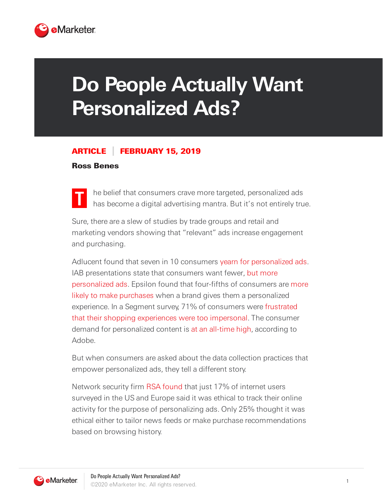

## **Do People Actually Want Personalized Ads?**

## ARTICLE FEBRUARY 15, 2019

## Ross Benes



he belief that consumers crave more targeted, personalized ads has become a digital advertising mantra. But it's not entirely true.

Sure, there are a slew of studies by trade groups and retail and marketing vendors showing that "relevant" ads increase engagement and purchasing.

Adlucent found that seven in 10 consumers yearn for [personalized](https://www.marketingdive.com/news/study-71-of-consumers-prefer-personalized-ads/418831/) ads. IAB [presentations](https://www.iab.com/wp-content/uploads/2016/05/Value-of-Targeted-Ads-to-Consumers2.pdf) state that consumers want fewer, but more personalized ads. Epsilon found that four-fifths of consumers are more likely to make purchases when a brand gives them a [personalized](https://us.epsilon.com/pressroom/new-epsilon-research-indicates-80-of-consumers-are-more-likely-to-make-a-purchase-when-brands-offer-personalized-experiences) experience. In a Segment survey, 71% of consumers were frustrated that their shopping experiences were too [impersonal.](http://grow.segment.com/Segment-2017-Personalization-Report.pdf) The consumer demand for personalized content is at an [all-time](https://www.cmo.com/features/articles/2018/1/31/adobe-2018-consumer-content-survey.html#gs.fNSH4Xes) high, according to Adobe.

But when consumers are asked about the data collection practices that empower personalized ads, they tell a different story.

Network security firm RSA [found](https://www.rsa.com/en-us/company/news/the-dark-side-of-customer-data) that just 17% of internet users surveyed in the US and Europe said it was ethical to track their online activity for the purpose of personalizing ads. Only 25% thought it was ethical either to tailor news feeds or make purchase recommendations based on browsing history.

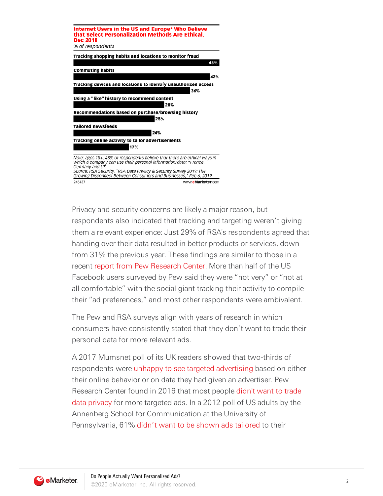

Privacy and security concerns are likely a major reason, but respondents also indicated that tracking and targeting weren't giving them a relevant experience: Just 29% of RSA's respondents agreed that handing over their data resulted in better products or services, down from 31% the previous year. These findings are similar to those in a recent report from Pew [Research](http://www.pewinternet.org/2019/01/16/facebook-algorithms-and-personal-data/) Center. More than half of the US Facebook users surveyed by Pew said they were "not very" or "not at all comfortable" with the social giant tracking their activity to compile their "ad preferences," and most other respondents were ambivalent.

The Pew and RSA surveys align with years of research in which consumers have consistently stated that they don't want to trade their personal data for more relevant ads.

A 2017 Mumsnet poll of its UK readers showed that two-thirds of respondents were unhappy to see targeted [advertising](https://www.emarketer.com/Article/Personalized-Advertising-Gets-Low-Marks-UK-Parents/1015759) based on either their online behavior or on data they had given an advertiser. Pew [Research](https://www.poynter.org/business-work/2016/people-dont-want-to-trade-privacy-for-targeted-ads/) Center found in 2016 that most people didn't want to trade data privacy for more targeted ads. In a 2012 poll of US adults by the Annenberg School for Communication at the University of Pennsylvania, 61% didn't want to be shown ads [tailored](https://www.nytimes.com/2019/01/29/opinion/zuckerberg-facebook-ads.html) to their